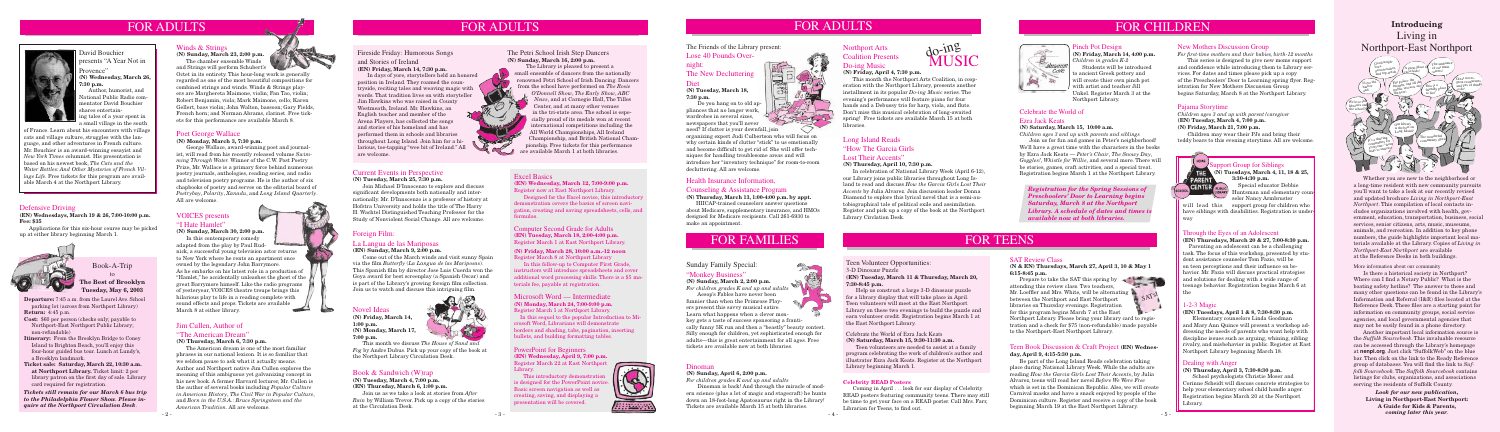# Defensive Driving

## **(EN) Wednesdays, March 19 & 26, 7:00-10:00 p.m. Fee: \$35**

 Applications for this six-hour course may be picked up at either library beginning March 1.



# Sunday Family Special:

## "Monkey Business"

**(N) Sunday, March 2, 2:00 p.m.**  *For children grades K and up and adults*

 Help us construct a large 3-D dinosaur puzzle for a library display that will take place in April. Teen volunteers will meet at the East Northport Library on these two evenings to build the puzzle and earn volunteer credit. Registration begins March 1 at the East Northport Library. Microsoft Word — Intermediate **SATS**<br>Microsoft Word — Intermediate **SATS**<br>SATS

 Aesop's Fables have never been funnier than when the Primrose Players present this savvy musical satire. Learn what happens when a clever monkey gets a taste of success sponsoring a frantically funny 5K run and then a "beastly" beauty contest. Silly enough for children, yet sophisticated enough for adults—this is great entertainment for all ages. Free tickets are available now at both libraries.

# Teen Volunteer Opportunities:

#### 3-D Dinosaur Puzzle

# **(EN) Tuesday, March 11 & Thursday, March 20, 7:30-8:45 p.m.**

selor Nancy Armbruster will lead this support group for children who

have siblings with disabilities. Registration is underway

#### Celebrate the World of Ezra Jack Keats **(N) Saturday, March 15, 9:30-11:30 a.m.**

 Teen volunteers are needed to assist at a family program celebrating the work of children's author and illustrator Ezra Jack Keats. Register at the Northport Library beginning March 1.

# Pinch Pot Design

**(N) Friday, March 14, 4:00 p.m.** *Children in grades K-2*

 Students will be introduced to ancient Greek pottery and will create thier own pinch pot with artist and teacher Jill Unkel. Register March 3 at the Northport Library.



Huntsman and elementary coun

# Fireside Friday: Humorous Songs

# and Stories of Ireland

**(EN) Friday, March 14, 7:30 p.m.**

 In days of yore, storytellers held an honored position in Ireland. They roamed the countryside, reciting tales and weaving magic with words. That tradition lives on with storyteller Jim Hawkins who was raised in County Westmeath, Ireland. Mr. Hawkins, an English teacher and member of the Arena Players, has collected the songs and stories of his homeland and has performed them in schools and libraries throughout Long Island. Join him for a hilarious, toe-tapping "wee bit of Ireland." All are welcome.

# Pajama Storytime

*Children ages 3 and up with parent/caregiver* **(EN) Tuesday, March 4, 7:00 p.m. (N) Friday, March 21, 7:00 p.m.**

 Children may wear their PJs and bring their teddy bears to this evening storytime. All are welcome.

# Celebrate the World of

## Ezra Jack Keats

#### **(N) Saturday, March 15, 10:00 a.m.**

*Children ages 3 and up with parents and siblings* Join us for fun and games in Peter's neighborhood! We'll have a great time with the characters in the books by Ezra Jack Keats — *Peter's Chair*, *The Snowy Day*, *Goggles!*, *Whistle for Willie*, and several more. There will be stories, games, craft activities, and a special treat. Registration begins March 1 at the Northport Library.

*Registration for the Spring Sessions of Preschoolers' Door to Learning begins Saturday, March 8 at the Northport Library. A schedule of dates and times is available now at both libraries.* 

# Jim Cullen, Author of

# "The American Dream"

#### **(N) Thursday, March 6, 7:30 p.m.**

 The American dream is one of the most familiar phrases in our national lexicon. It is so familiar that we seldom pause to ask what it actually means. Author and Northport native Jim Cullen explores the meaning of this ambiguous yet galvanizing concept in his new book. A former Harvard lecturer, Mr. Cullen is the author of several books including *Popular Culture in American History*, *The Civil War in Popular Culture*, and *Born in the U.S.A.: Bruce Springsteen and the American Tradition*. All are welcome.



 $\sum_{i=1}^n$ 



# La Langua de las Mariposas

#### **(EN) Sunday, March 9, 2:00 p.m.**

 Come out of the March winds and visit sunny Spain via the film *Butterfly* (*La Langua de las Mariposas*). This Spanish film by director Jose Luis Cuerda won the Goya award for best screenplay (a Spanish Oscar) and is part of the Library's growing foreign film collection. Join us to watch and discuss this intriguing film.

# Current Events in Perspective

**(N) Tuesday, March 25, 7:30 p.m.**

 Join Michael D'Innocenzo to explore and discuss significant developments both nationally and internationally. Mr. D'Innocenzo is a professor of history at Hofstra University and holds the title of The Harry H. Wachtel Distinguished Teaching Professor for the Study of Nonviolent Social Change. All are welcome.

# **Toreign Film:**

Prepare to take the SAT this spring by attending this review class. Two teachers, between the Northport and East Northport libraries on Thursday evenings. Registration for this program begins March 7 at the East



# Through the Eyes of an Adolescent

**(EN) Thursdays, March 20 & 27, 7:00-8:30 p.m.** Parenting an adolescent can be a challenging task. The focus of this workshop, presented by student assistance counselor Tom Fazio, will be on teen perceptions and their influence on behavior. Mr. Fazio will discuss practical strategies and solutions for dealing with a wide range of teenage behavior. Registration begins March 6 at the

# 1-2-3 Magic

**(EN) Tuesdays, April 1 & 8, 7:30-8:30 p.m.**

 Elementary counselors Linda Goodman and Mary Ann Quince will present a workshop addressing the needs of parents who want help with discipline issues such as arguing, whining, sibling rivalry, and misbehavior in public. Register at East Northport Library beginning March 18.

# Dealing with Anger

**(N) Thursday, April 3, 7:30-8:30 p.m.**

 School psychologists Christie Moser and Corinne Scheidt will discuss concrete strategies to help your elementary school child handle anger. Registration begins March 20 at the Northport Library.

#### Computer Second Grade for Adults **(EN) Tuesday, March 18, 2:00-4:00 p.m.** Register March 1 at East Northport Library.

**(N) Friday, March 28, 10:00 a.m.-12 noon** Register March 8 at Northport Library

In this follow-up to Computer First Grade, instructors will introduce spreadsheets and cover additional word processing skills. There is a \$5 materials fee, payable at registration.

This introductory demonstration is designed for the PowerPoint novice. Basic screen navigation as well as creating, saving, and displaying a resentation will be covered.



# Poet George Wallace

**(N) Monday, March 3, 7:30 p.m.**

 Designed for the Excel novice, this introductory emonstration covers the basics of screen navigation, creating and saving spreadsheets, cells, and  ${\rm \dot{o}rmulas.}$ 

 George Wallace, award-winning poet and journalist, will read from his recently released volume *Swimming Through Water.* Winner of the C.W. Post Poetry Prize, Mr. Wallace is a primary force behind numerous poetry journals, anthologies, reading series, and radio and television poetry programs. He is the author of six chapbooks of poetry and serves on the editorial board of *Poetrybay*, *Polarity*, *Xanadu*, and *Long Island Quarterly*. All are welcome.



# David Bouchier presents "A Year Not in Provence"

**(N) Wednesday, March 26, 7:30 p.m.**

 Author, humorist, and National Public Radio commentator David Bouchier shares entertaining tales of a year spent in a small village in the south

of France. Learn about his encounters with village cats and village culture, struggles with the language, and other adventures in French culture. Mr. Bouchier is an award-winning essayist and *New York Times* columnist. His presentation is based on his newest book, *The Cats and the Water Bottles: And Other Mysteries of French Village Life.* Free tickets for this program are available March 4 at the Northport Library.

# VOICES presents

# "I Hate Hamlet"

**(N) Sunday, March 30, 2:00 p.m.**

 In this contemporary comedy **STATISTICS** adapted from the play by Paul Rudnick, a successful young television actor returns to New York where he rents an apartment once owned by the legendary John Barrymore. As he embarks on his latest role in a production of "Hamlet," he accidentally unleashes the ghost of the great Barrymore himself. Like the radio programs of yesteryear, VOICES theatre troupe brings this hilarious play to life in a reading complete with sound effects and props. Tickets are available March 8 at either library.

# Winds & Strings

**(N) Sunday, March 23, 2:00 p.m.** The chamber ensemble Winds

and Strings will perform Schubert's Octet in its entirety. This hour-long work is generally regarded as one of the most beautiful compositions for combined strings and winds. Winds & Strings players are Marghereta Maimone, violin; Fan Tao, violin; Robert Benjamin, viola; Mark Maimone, cello; Karen Gellert, bass violin; John Walton, bassoon; Gary Fields, French horn; and Norman Abrams, clarinet. Free tickets for this performance are available March 8.

The Friends of the Library present:

Lose 40 Pounds Over-

night: The New Decluttering

# Diet

**(N) Tuesday, March 18, 7:30 p.m.**

 Do you hang on to old appliances that no longer work, wardrobes in several sizes, newspapers that you'll never need? If clutter is your downfall, join

organizing expert Judi Culbertson who will focus on why certain kinds of clutter "stick" to us emotionally and become difficult to get rid of. She will offer techniques for handling troublesome areas and will introduce her "inventory technique" for room-to-room decluttering. All are welcome.

# SAT Review Class

# **(N & EN) Thursdays, March 27, April 3, 10 & May 1 6:15-8:45 p.m.**

Northport Library. Please bring your library card to registration and a check for \$75 (non-refundable) made payable to the Northport-East Northport Library.

# **Introducing** Living in Northport-East Northport

 Whether you are new to the neighborhood or a long-time resident with new community pursuits you'll want to take a look at our recently revised and updated brochure *Living in Northport-East Northport*. This compilation of local contacts includes organizations involved with health, government, education, transportation, business, social services, senior citizens, arts, music, museums, animals, and recreation. In addition to key phone numbers, the guide highlights important local materials available at the Library. Copies of *Living in Northport-East Northport* are available at the Reference Desks in both buildings.

### More information about our community

 Is there a historical society in Northport? Where can I find a Notary Public? What is the boating safety hotline? The answer to these and many other questions can be found in the Library's Information and Referral (I&R) files located at the Reference Desk. These files are a starting point for information on community groups, social service agencies, and local governmental agencies that may not be easily found in a phone directory.

 Another important local information source is the *Suffolk Sourcebook*. This invaluable resource can be accessed through the Library's homepage at **nenpl.org**. Just click "SuffolkWeb" on the blue bar. Then click on the link to the Ready Reference group of databases. You will find the link to *Suffolk Sourcebook*. The *Suffolk Sourcebook* contains listings for clubs, organizations, and associations serving the residents of Suffolk County.

**Departure:** 7:45 a.m. from the Laurel Ave. School parking lot (across from Northport Library) **Return:** 4:45 p.m.

- **Cost:** \$60 per person (checks only; payable to Northport-East Northport Public Library; non-refundable)
- **Itinerary:** From the Brooklyn Bridge to Coney Island to Brighton Beach, you'll enjoy this four-hour guided bus tour. Lunch at Lundy's, a Brooklyn landmark.
- **Ticket sale: Saturday, March 22, 10:30 a.m. at Northport Library.** Ticket limit: 2 per library patron on the first day of sale. Library card required for registration.

Book-A-Trip to **The Best of Brooklyn Tuesday, May 6, 2003**

*Tickets still remain for our March 6 bus trip to the Philadelphia Flower Show. Please inquire at the Northport Circulation Desk*.

# **(N) Monday, March 24, 7:00-9:00 p.m.** Register March 1 at Northport Library.

In this sequel to the popular Introduction to Microsoft Word, Librarians will demonstrate borders and shading, tabs, pagination, inserting bullets, and building formatting tables.

PowerPoint for Beginners **(EN) Wednesday, April 9, 7:00 p.m.** Register March 22 at East Northport Library.

# Excel Basics

**(EN) Wednesday, March 12, 7:00-9:00 p.m.** Register now at East Northport Library.

# FOR FAMILIES

# Dinoman

# **(N) Sunday, April 6, 2:00 p.m.**

*For children grades K and up and adults*

 Dinoman is back! And through the miracle of modern science (plus a lot of magic and stagecraft) he hunts down an 18-foot-long Apatosaurus right in the Library! Tickets are available March 15 at both libraries.

# FOR TEENS

*Look for our new publication***, Living in Northport-East Northport: A Guide for Kids & Parents,**  *coming later this year.*

# Northport Arts Coalition Presents Do-ing Music

# **(N) Friday, April 4, 7:30 p.m.**

 This month the Northport Arts Coalition, in cooperation with the Northport Library, presents another installment in its popular *Do-ing Music* series. The evening's performance will feature piano for four hands and a Debussy trio for harp, viola, and flute. Don't miss this musical celebration of long-awaited spring! Free tickets are available March 15 at both libraries.

FOR ADULTS

# Long Island Reads "How The Garcia Girls

# Lost Their Accents'

# **(N) Thursday, April 10, 7:30 p.m.**

 In celebration of National Library Week (April 6-12), our Library joins public libraries throughout Long Island to read and discuss *How the Garcia Girls Lost Their Accents* by Julia Alvarez. Join discussion leader Donna Diamond to explore this lyrical novel that is a semi-autobiographical tale of political exile and assimilation. Register and pick up a copy of the book at the Northport Library Circlation Desk.

# The Petri School Irish Step Dancers **(N) Sunday, March 16, 2:00 p.m.**

 The Library is pleased to present a small ensemble of dancers from the nationally renowned Petri School of Irish Dancing. Dancers from the school have performed on *The Rosie* 

*O'Donnell Show*, *The Early Show*, *ABC News*, and at Carnegie Hall, The Tilles Center, and at many other venues in the tri-state area. The school is especially proud of its medals won at recent international competitions including the All World Championships, All Ireland Championship, and British National Championship. Free tickets for this performance are available March 1 at both libraries.



# Novel Ideas

**(N) Friday, March 14, 1:00 p.m. (N) Monday, March 17, 7:00 p.m.**



 This month we discuss *The House of Sand and Fog* by Andre Dubus. Pick up your copy of the book at the Northport Library Circulation Desk.

# Book & Sandwich (W)rap

**(N) Tuesday, March 4, 7:00 p.m. (EN) Thursday, March 6, 1:00 p.m.**

Join us as we take a look at stories from *After Rain* by William Trevor. Pick up a copy of the stories at the Circulation Desk.



# New Mothers Discussion Group

*For first-time mothers and their babies, birth-12 months* This series is designed to give new moms support and confidence while introducing them to Library services. For dates and times please pick up a copy

of the Preschoolers' Door to Learning spring flyer. Registration for New Mothers Discussion Group begins Saturday, March 8 at the Northport Library.



# **Celebrity READ Posters**

 Coming in April . . . look for our display of Celebrity READ posters featuring community teens. There may still be time to get your face on a READ poster. Call Mrs. Farr, Librarian for Teens, to find out.



333300

 $24 -$ 

# FOR ADULTS FOR ADULTS FOR ADULTS FOR ADULTS FOR ADULTS FOR ADULTS FOR CHILDREN



# Teen Book Discussion & Craft Project **(EN) Wednesday, April 9, 4:15-5:30 p.m.**

 Be part of the Long Island Reads celebration taking place during National Library Week. While the adults are reading *How the Garcia Girls Lost Their Accents*, by Julia Alvarez, teens will read her novel *Before We Were Free*  which is set in the Dominican Republic. Also, we will create Carnival masks and have a snack enjoyed by people of the Dominican culture. Register and receive a copy of the book beginning March 19 at the East Northport Library.

# Health Insurance Information,

# Counseling & Assistance Program

# **(N) Thursday, March 13, 1:00-4:00 p.m. by appt.**

HIICAP-trained counselors answer questions about Medicare, supplementary insurance, and HMOs designed for Medicare recipients. Call 261-6930 to make an appointment.